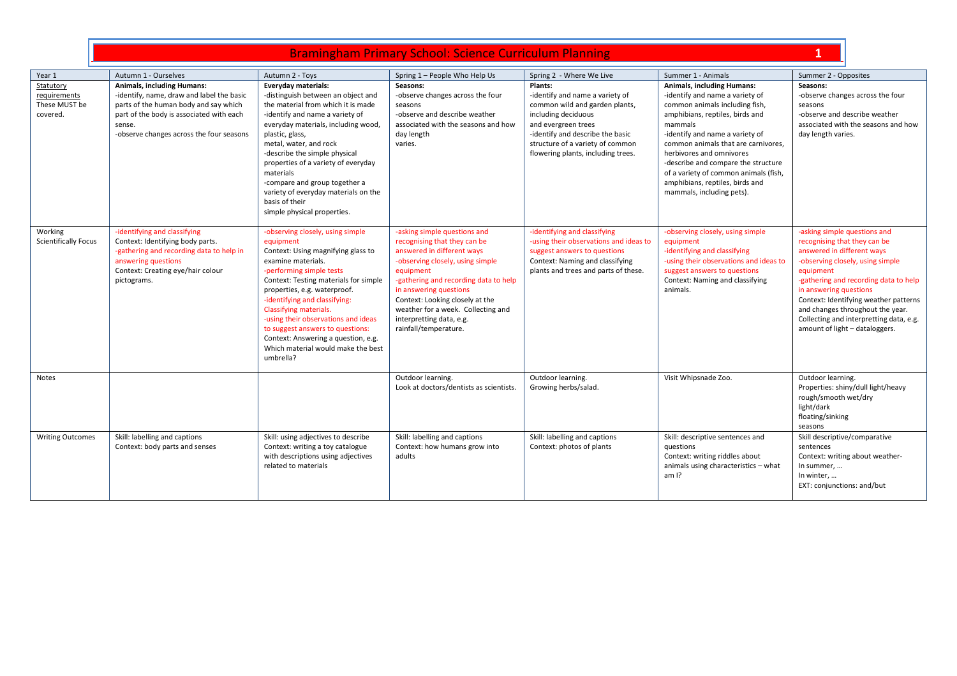| Primary School: Science Curriculum Planning<br>didilingridili Pfilitidi V |  |
|---------------------------------------------------------------------------|--|

| Year 1                      | Autumn 1 - Ourselves                      | Autumn 2 - Toys                                               | Spring 1 - People Who Help Us                                  | Spring 2 - Where We Live               | Summer 1 - Animals                     | Summer 2 - Opposites                                                        |
|-----------------------------|-------------------------------------------|---------------------------------------------------------------|----------------------------------------------------------------|----------------------------------------|----------------------------------------|-----------------------------------------------------------------------------|
| Statutory                   | <b>Animals, including Humans:</b>         | Everyday materials:                                           | Seasons:                                                       | Plants:                                | <b>Animals, including Humans:</b>      | Seasons:                                                                    |
| requirements                | -identify, name, draw and label the basic | -distinguish between an object and                            | -observe changes across the four                               | -identify and name a variety of        | -identify and name a variety of        | -observe changes across the four                                            |
| These MUST be               | parts of the human body and say which     | the material from which it is made                            | seasons                                                        | common wild and garden plants,         | common animals including fish,         | seasons                                                                     |
| covered.                    | part of the body is associated with each  | -identify and name a variety of                               | -observe and describe weather                                  | including deciduous                    | amphibians, reptiles, birds and        | -observe and describe weather                                               |
|                             | sense.                                    | everyday materials, including wood,                           | associated with the seasons and how                            | and evergreen trees                    | mammals                                | associated with the seasons and how                                         |
|                             | -observe changes across the four seasons  | plastic, glass,                                               | day length                                                     | -identify and describe the basic       | -identify and name a variety of        | day length varies.                                                          |
|                             |                                           | metal, water, and rock                                        | varies.                                                        | structure of a variety of common       | common animals that are carnivores,    |                                                                             |
|                             |                                           | -describe the simple physical                                 |                                                                | flowering plants, including trees.     | herbivores and omnivores               |                                                                             |
|                             |                                           | properties of a variety of everyday                           |                                                                |                                        | -describe and compare the structure    |                                                                             |
|                             |                                           | materials                                                     |                                                                |                                        | of a variety of common animals (fish,  |                                                                             |
|                             |                                           | -compare and group together a                                 |                                                                |                                        | amphibians, reptiles, birds and        |                                                                             |
|                             |                                           | variety of everyday materials on the                          |                                                                |                                        | mammals, including pets).              |                                                                             |
|                             |                                           | basis of their                                                |                                                                |                                        |                                        |                                                                             |
|                             |                                           | simple physical properties.                                   |                                                                |                                        |                                        |                                                                             |
| Working                     | -identifying and classifying              | -observing closely, using simple                              | -asking simple questions and                                   | -identifying and classifying           | -observing closely, using simple       | -asking simple questions and                                                |
| <b>Scientifically Focus</b> | Context: Identifying body parts.          | equipment                                                     | recognising that they can be                                   | -using their observations and ideas to | equipment                              | recognising that they can be                                                |
|                             | -gathering and recording data to help in  | Context: Using magnifying glass to                            | answered in different ways                                     | suggest answers to questions           | -identifying and classifying           | answered in different ways                                                  |
|                             | answering questions                       | examine materials.                                            | -observing closely, using simple                               | Context: Naming and classifying        | -using their observations and ideas to | -observing closely, using simple                                            |
|                             | Context: Creating eye/hair colour         | -performing simple tests                                      | equipment                                                      | plants and trees and parts of these.   | suggest answers to questions           | equipment                                                                   |
|                             | pictograms.                               | Context: Testing materials for simple                         | -gathering and recording data to help                          |                                        | Context: Naming and classifying        | -gathering and recording data to help                                       |
|                             |                                           | properties, e.g. waterproof.                                  | in answering questions                                         |                                        | animals.                               | in answering questions                                                      |
|                             |                                           | -identifying and classifying:                                 | Context: Looking closely at the                                |                                        |                                        | Context: Identifying weather patterns                                       |
|                             |                                           | Classifying materials.<br>-using their observations and ideas | weather for a week. Collecting and<br>interpretting data, e.g. |                                        |                                        | and changes throughout the year.<br>Collecting and interpretting data, e.g. |
|                             |                                           | to suggest answers to questions:                              | rainfall/temperature.                                          |                                        |                                        | amount of light - dataloggers.                                              |
|                             |                                           | Context: Answering a question, e.g.                           |                                                                |                                        |                                        |                                                                             |
|                             |                                           | Which material would make the best                            |                                                                |                                        |                                        |                                                                             |
|                             |                                           | umbrella?                                                     |                                                                |                                        |                                        |                                                                             |
|                             |                                           |                                                               |                                                                |                                        |                                        |                                                                             |
| Notes                       |                                           |                                                               | Outdoor learning.                                              | Outdoor learning.                      | Visit Whipsnade Zoo.                   | Outdoor learning.                                                           |
|                             |                                           |                                                               | Look at doctors/dentists as scientists.                        | Growing herbs/salad.                   |                                        | Properties: shiny/dull light/heavy                                          |
|                             |                                           |                                                               |                                                                |                                        |                                        | rough/smooth wet/dry                                                        |
|                             |                                           |                                                               |                                                                |                                        |                                        | light/dark                                                                  |
|                             |                                           |                                                               |                                                                |                                        |                                        | floating/sinking                                                            |
| <b>Writing Outcomes</b>     | Skill: labelling and captions             | Skill: using adjectives to describe                           | Skill: labelling and captions                                  | Skill: labelling and captions          | Skill: descriptive sentences and       | seasons<br>Skill descriptive/comparative                                    |
|                             | Context: body parts and senses            | Context: writing a toy catalogue                              | Context: how humans grow into                                  | Context: photos of plants              | questions                              | sentences                                                                   |
|                             |                                           | with descriptions using adjectives                            | adults                                                         |                                        | Context: writing riddles about         | Context: writing about weather-                                             |
|                             |                                           | related to materials                                          |                                                                |                                        | animals using characteristics - what   | In summer,                                                                  |
|                             |                                           |                                                               |                                                                |                                        | am 1?                                  | In winter,                                                                  |
|                             |                                           |                                                               |                                                                |                                        |                                        | EXT: conjunctions: and/but                                                  |
|                             |                                           |                                                               |                                                                |                                        |                                        |                                                                             |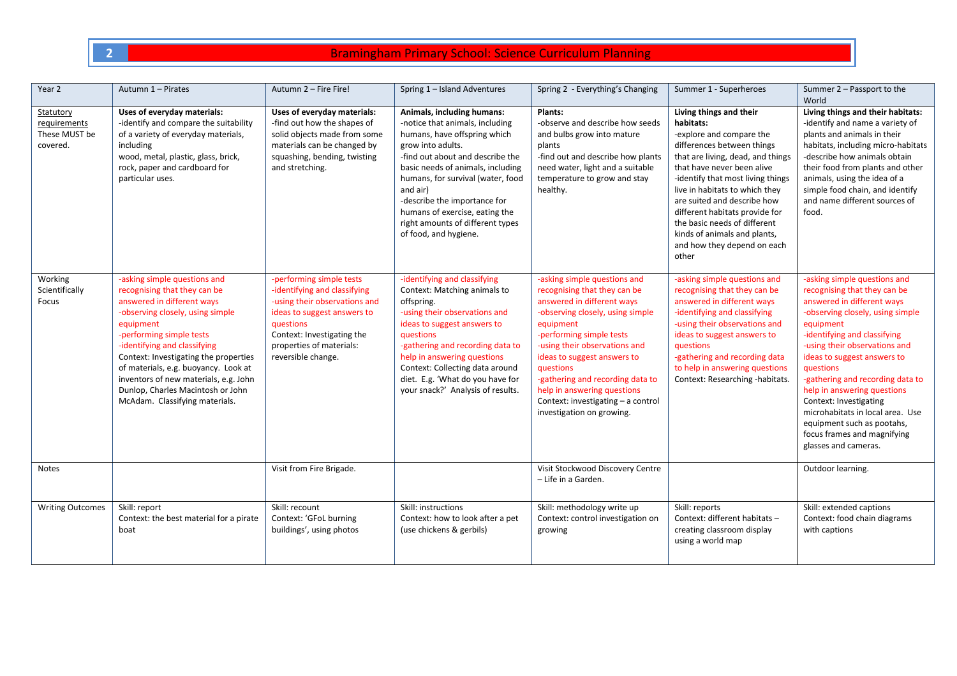| Year 2                                                 | Autumn 1 - Pirates                                                                                                                                                                                                                                                                                                                                                                                       | Autumn 2 - Fire Fire!                                                                                                                                                                                                 | Spring 1 - Island Adventures                                                                                                                                                                                                                                                                                                                                                | Spring 2 - Everything's Changing                                                                                                                                                                                                                                                                                                                                                           | Summer 1 - Superheroes                                                                                                                                                                                                                                                                                                                                                                                            | Summer 2 - Passport to the<br>World                                                                                                                                                                                                                                                                                                                                                                                                                                            |
|--------------------------------------------------------|----------------------------------------------------------------------------------------------------------------------------------------------------------------------------------------------------------------------------------------------------------------------------------------------------------------------------------------------------------------------------------------------------------|-----------------------------------------------------------------------------------------------------------------------------------------------------------------------------------------------------------------------|-----------------------------------------------------------------------------------------------------------------------------------------------------------------------------------------------------------------------------------------------------------------------------------------------------------------------------------------------------------------------------|--------------------------------------------------------------------------------------------------------------------------------------------------------------------------------------------------------------------------------------------------------------------------------------------------------------------------------------------------------------------------------------------|-------------------------------------------------------------------------------------------------------------------------------------------------------------------------------------------------------------------------------------------------------------------------------------------------------------------------------------------------------------------------------------------------------------------|--------------------------------------------------------------------------------------------------------------------------------------------------------------------------------------------------------------------------------------------------------------------------------------------------------------------------------------------------------------------------------------------------------------------------------------------------------------------------------|
| Statutory<br>requirements<br>These MUST be<br>covered. | Uses of everyday materials:<br>-identify and compare the suitability<br>of a variety of everyday materials,<br>including<br>wood, metal, plastic, glass, brick,<br>rock, paper and cardboard for<br>particular uses.                                                                                                                                                                                     | Uses of everyday materials:<br>-find out how the shapes of<br>solid objects made from some<br>materials can be changed by<br>squashing, bending, twisting<br>and stretching.                                          | Animals, including humans:<br>-notice that animals, including<br>humans, have offspring which<br>grow into adults.<br>-find out about and describe the<br>basic needs of animals, including<br>humans, for survival (water, food<br>and air)<br>-describe the importance for<br>humans of exercise, eating the<br>right amounts of different types<br>of food, and hygiene. | Plants:<br>-observe and describe how seeds<br>and bulbs grow into mature<br>plants<br>-find out and describe how plants<br>need water, light and a suitable<br>temperature to grow and stay<br>healthy.                                                                                                                                                                                    | Living things and their<br>habitats:<br>-explore and compare the<br>differences between things<br>that are living, dead, and things<br>that have never been alive<br>-identify that most living things<br>live in habitats to which they<br>are suited and describe how<br>different habitats provide for<br>the basic needs of different<br>kinds of animals and plants,<br>and how they depend on each<br>other | Living things and their habitats:<br>-identify and name a variety of<br>plants and animals in their<br>habitats, including micro-habitats<br>-describe how animals obtain<br>their food from plants and other<br>animals, using the idea of a<br>simple food chain, and identify<br>and name different sources of<br>food.                                                                                                                                                     |
| Working<br>Scientifically<br>Focus                     | -asking simple questions and<br>recognising that they can be<br>answered in different ways<br>-observing closely, using simple<br>equipment<br>-performing simple tests<br>-identifying and classifying<br>Context: Investigating the properties<br>of materials, e.g. buoyancy. Look at<br>inventors of new materials, e.g. John<br>Dunlop, Charles Macintosh or John<br>McAdam. Classifying materials. | -performing simple tests<br>-identifying and classifying<br>-using their observations and<br>ideas to suggest answers to<br>questions<br>Context: Investigating the<br>properties of materials:<br>reversible change. | -identifying and classifying<br>Context: Matching animals to<br>offspring.<br>-using their observations and<br>ideas to suggest answers to<br>questions<br>-gathering and recording data to<br>help in answering questions<br>Context: Collecting data around<br>diet. E.g. 'What do you have for<br>your snack?' Analysis of results.                                      | -asking simple questions and<br>recognising that they can be<br>answered in different ways<br>-observing closely, using simple<br>equipment<br>-performing simple tests<br>-using their observations and<br>ideas to suggest answers to<br>questions<br>-gathering and recording data to<br>help in answering questions<br>Context: investigating - a control<br>investigation on growing. | -asking simple questions and<br>recognising that they can be<br>answered in different ways<br>-identifying and classifying<br>-using their observations and<br>ideas to suggest answers to<br>questions<br>-gathering and recording data<br>to help in answering questions<br>Context: Researching -habitats.                                                                                                     | -asking simple questions and<br>recognising that they can be<br>answered in different ways<br>-observing closely, using simple<br>equipment<br>-identifying and classifying<br>-using their observations and<br>ideas to suggest answers to<br>questions<br>-gathering and recording data to<br>help in answering questions<br>Context: Investigating<br>microhabitats in local area. Use<br>equipment such as pootahs,<br>focus frames and magnifying<br>glasses and cameras. |
| <b>Notes</b>                                           |                                                                                                                                                                                                                                                                                                                                                                                                          | Visit from Fire Brigade.                                                                                                                                                                                              |                                                                                                                                                                                                                                                                                                                                                                             | Visit Stockwood Discovery Centre<br>- Life in a Garden.                                                                                                                                                                                                                                                                                                                                    |                                                                                                                                                                                                                                                                                                                                                                                                                   | Outdoor learning.                                                                                                                                                                                                                                                                                                                                                                                                                                                              |
| <b>Writing Outcomes</b>                                | Skill: report<br>Context: the best material for a pirate<br>boat                                                                                                                                                                                                                                                                                                                                         | Skill: recount<br>Context: 'GFoL burning<br>buildings', using photos                                                                                                                                                  | Skill: instructions<br>Context: how to look after a pet<br>(use chickens & gerbils)                                                                                                                                                                                                                                                                                         | Skill: methodology write up<br>Context: control investigation on<br>growing                                                                                                                                                                                                                                                                                                                | Skill: reports<br>Context: different habitats -<br>creating classroom display<br>using a world map                                                                                                                                                                                                                                                                                                                | Skill: extended captions<br>Context: food chain diagrams<br>with captions                                                                                                                                                                                                                                                                                                                                                                                                      |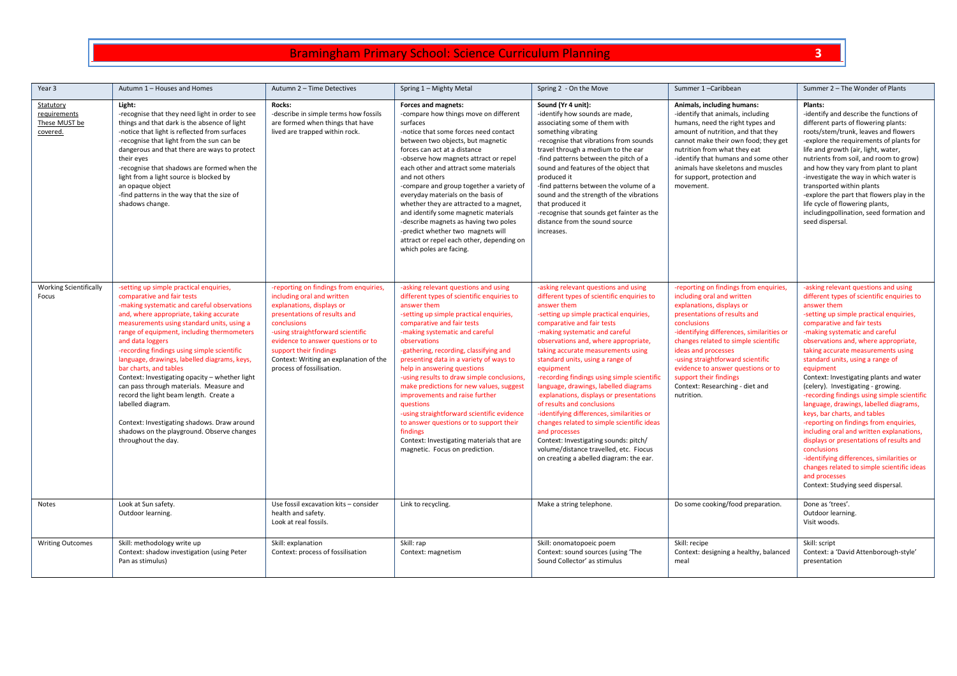| Year 3                                                 | Autumn 1 - Houses and Homes                                                                                                                                                                                                                                                                                                                                                                                                                                                                                                                                                                                                                                                              | Autumn 2 - Time Detectives                                                                                                                                                                                                                                                                                                   | Spring 1 - Mighty Metal                                                                                                                                                                                                                                                                                                                                                                                                                                                                                                                                                                                                                                                              | Spring 2 - On the Move                                                                                                                                                                                                                                                                                                                                                                                                                                                                                                                                                                                                                                                                                                                                 | Summer 1-Caribbean                                                                                                                                                                                                                                                                                                                                                                                                 | Summer 2 - The Wonder of Plants                                                                                                                                                                                                                                                                                                                                                                                                                                                                                                                                                                                                                                                                                                                                                                                                                         |
|--------------------------------------------------------|------------------------------------------------------------------------------------------------------------------------------------------------------------------------------------------------------------------------------------------------------------------------------------------------------------------------------------------------------------------------------------------------------------------------------------------------------------------------------------------------------------------------------------------------------------------------------------------------------------------------------------------------------------------------------------------|------------------------------------------------------------------------------------------------------------------------------------------------------------------------------------------------------------------------------------------------------------------------------------------------------------------------------|--------------------------------------------------------------------------------------------------------------------------------------------------------------------------------------------------------------------------------------------------------------------------------------------------------------------------------------------------------------------------------------------------------------------------------------------------------------------------------------------------------------------------------------------------------------------------------------------------------------------------------------------------------------------------------------|--------------------------------------------------------------------------------------------------------------------------------------------------------------------------------------------------------------------------------------------------------------------------------------------------------------------------------------------------------------------------------------------------------------------------------------------------------------------------------------------------------------------------------------------------------------------------------------------------------------------------------------------------------------------------------------------------------------------------------------------------------|--------------------------------------------------------------------------------------------------------------------------------------------------------------------------------------------------------------------------------------------------------------------------------------------------------------------------------------------------------------------------------------------------------------------|---------------------------------------------------------------------------------------------------------------------------------------------------------------------------------------------------------------------------------------------------------------------------------------------------------------------------------------------------------------------------------------------------------------------------------------------------------------------------------------------------------------------------------------------------------------------------------------------------------------------------------------------------------------------------------------------------------------------------------------------------------------------------------------------------------------------------------------------------------|
| Statutory<br>requirements<br>These MUST be<br>covered. | Light:<br>-recognise that they need light in order to see<br>things and that dark is the absence of light<br>-notice that light is reflected from surfaces<br>-recognise that light from the sun can be<br>dangerous and that there are ways to protect<br>their eyes<br>-recognise that shadows are formed when the<br>light from a light source is blocked by<br>an opaque object<br>-find patterns in the way that the size of<br>shadows change.                                                                                                                                                                                                                                     | Rocks:<br>-describe in simple terms how fossils<br>are formed when things that have<br>lived are trapped within rock.                                                                                                                                                                                                        | Forces and magnets:<br>-compare how things move on different<br>surfaces<br>-notice that some forces need contact<br>between two objects, but magnetic<br>forces can act at a distance<br>-observe how magnets attract or repel<br>each other and attract some materials<br>and not others<br>-compare and group together a variety of<br>everyday materials on the basis of<br>whether they are attracted to a magnet,<br>and identify some magnetic materials<br>-describe magnets as having two poles<br>-predict whether two magnets will<br>attract or repel each other, depending on<br>which poles are facing.                                                                | Sound (Yr 4 unit):<br>-identify how sounds are made,<br>associating some of them with<br>something vibrating<br>-recognise that vibrations from sounds<br>travel through a medium to the ear<br>-find patterns between the pitch of a<br>sound and features of the object that<br>produced it<br>-find patterns between the volume of a<br>sound and the strength of the vibrations<br>that produced it<br>-recognise that sounds get fainter as the<br>distance from the sound source<br>increases.                                                                                                                                                                                                                                                   | Animals, including humans:<br>-identify that animals, including<br>humans, need the right types and<br>amount of nutrition, and that they<br>cannot make their own food; they get<br>nutrition from what they eat<br>-identify that humans and some other<br>animals have skeletons and muscles<br>for support, protection and<br>movement.                                                                        | Plants:<br>-identify and describe the functions of<br>different parts of flowering plants:<br>roots/stem/trunk, leaves and flowers<br>-explore the requirements of plants for<br>life and growth (air, light, water,<br>nutrients from soil, and room to grow)<br>and how they vary from plant to plant<br>-investigate the way in which water is<br>transported within plants<br>-explore the part that flowers play in the<br>life cycle of flowering plants,<br>includingpollination, seed formation and<br>seed dispersal.                                                                                                                                                                                                                                                                                                                          |
| <b>Working Scientifically</b><br>Focus                 | -setting up simple practical enquiries,<br>comparative and fair tests<br>-making systematic and careful observations<br>and, where appropriate, taking accurate<br>measurements using standard units, using a<br>range of equipment, including thermometers<br>and data loggers<br>-recording findings using simple scientific<br>language, drawings, labelled diagrams, keys,<br>bar charts, and tables<br>Context: Investigating opacity - whether light<br>can pass through materials. Measure and<br>record the light beam length. Create a<br>labelled diagram.<br>Context: Investigating shadows. Draw around<br>shadows on the playground. Observe changes<br>throughout the day. | -reporting on findings from enquiries,<br>including oral and written<br>explanations, displays or<br>presentations of results and<br>conclusions<br>-using straightforward scientific<br>evidence to answer questions or to<br>support their findings<br>Context: Writing an explanation of the<br>process of fossilisation. | -asking relevant questions and using<br>different types of scientific enquiries to<br>answer them<br>-setting up simple practical enquiries,<br>comparative and fair tests<br>-making systematic and careful<br>observations<br>-gathering, recording, classifying and<br>presenting data in a variety of ways to<br>help in answering questions<br>-using results to draw simple conclusions,<br>make predictions for new values, suggest<br>improvements and raise further<br><b>auestions</b><br>-using straightforward scientific evidence<br>to answer questions or to support their<br>findings<br>Context: Investigating materials that are<br>magnetic. Focus on prediction. | -asking relevant questions and using<br>different types of scientific enquiries to<br>answer them<br>-setting up simple practical enquiries,<br>comparative and fair tests<br>-making systematic and careful<br>observations and, where appropriate,<br>taking accurate measurements using<br>standard units, using a range of<br>equipment<br>-recording findings using simple scientific<br>language, drawings, labelled diagrams<br>explanations, displays or presentations<br>of results and conclusions<br>-identifying differences, similarities or<br>changes related to simple scientific ideas<br>and processes<br>Context: Investigating sounds: pitch/<br>volume/distance travelled, etc. Fiocus<br>on creating a abelled diagram: the ear. | -reporting on findings from enquiries,<br>including oral and written<br>explanations, displays or<br>presentations of results and<br>conclusions<br>-identifying differences, similarities or<br>changes related to simple scientific<br>ideas and processes<br>-using straightforward scientific<br>evidence to answer questions or to<br>support their findings<br>Context: Researching - diet and<br>nutrition. | -asking relevant questions and using<br>different types of scientific enquiries to<br>answer them<br>-setting up simple practical enquiries,<br>comparative and fair tests<br>-making systematic and careful<br>observations and, where appropriate,<br>taking accurate measurements using<br>standard units, using a range of<br>equipment<br>Context: Investigating plants and water<br>(celery). Investigating - growing.<br>-recording findings using simple scientific<br>language, drawings, labelled diagrams,<br>keys, bar charts, and tables<br>-reporting on findings from enquiries,<br>including oral and written explanations,<br>displays or presentations of results and<br>conclusions<br>-identifying differences, similarities or<br>changes related to simple scientific ideas<br>and processes<br>Context: Studying seed dispersal. |
| Notes                                                  | Look at Sun safety.<br>Outdoor learning.                                                                                                                                                                                                                                                                                                                                                                                                                                                                                                                                                                                                                                                 | Use fossil excavation kits - consider<br>health and safety.<br>Look at real fossils.                                                                                                                                                                                                                                         | Link to recycling.                                                                                                                                                                                                                                                                                                                                                                                                                                                                                                                                                                                                                                                                   | Make a string telephone.                                                                                                                                                                                                                                                                                                                                                                                                                                                                                                                                                                                                                                                                                                                               | Do some cooking/food preparation.                                                                                                                                                                                                                                                                                                                                                                                  | Done as 'trees'.<br>Outdoor learning.<br>Visit woods.                                                                                                                                                                                                                                                                                                                                                                                                                                                                                                                                                                                                                                                                                                                                                                                                   |
| <b>Writing Outcomes</b>                                | Skill: methodology write up<br>Context: shadow investigation (using Peter<br>Pan as stimulus)                                                                                                                                                                                                                                                                                                                                                                                                                                                                                                                                                                                            | Skill: explanation<br>Context: process of fossilisation                                                                                                                                                                                                                                                                      | Skill: rap<br>Context: magnetism                                                                                                                                                                                                                                                                                                                                                                                                                                                                                                                                                                                                                                                     | Skill: onomatopoeic poem<br>Context: sound sources (using 'The<br>Sound Collector' as stimulus                                                                                                                                                                                                                                                                                                                                                                                                                                                                                                                                                                                                                                                         | Skill: recipe<br>Context: designing a healthy, balanced<br>meal                                                                                                                                                                                                                                                                                                                                                    | Skill: script<br>Context: a 'David Attenborough-style'<br>presentation                                                                                                                                                                                                                                                                                                                                                                                                                                                                                                                                                                                                                                                                                                                                                                                  |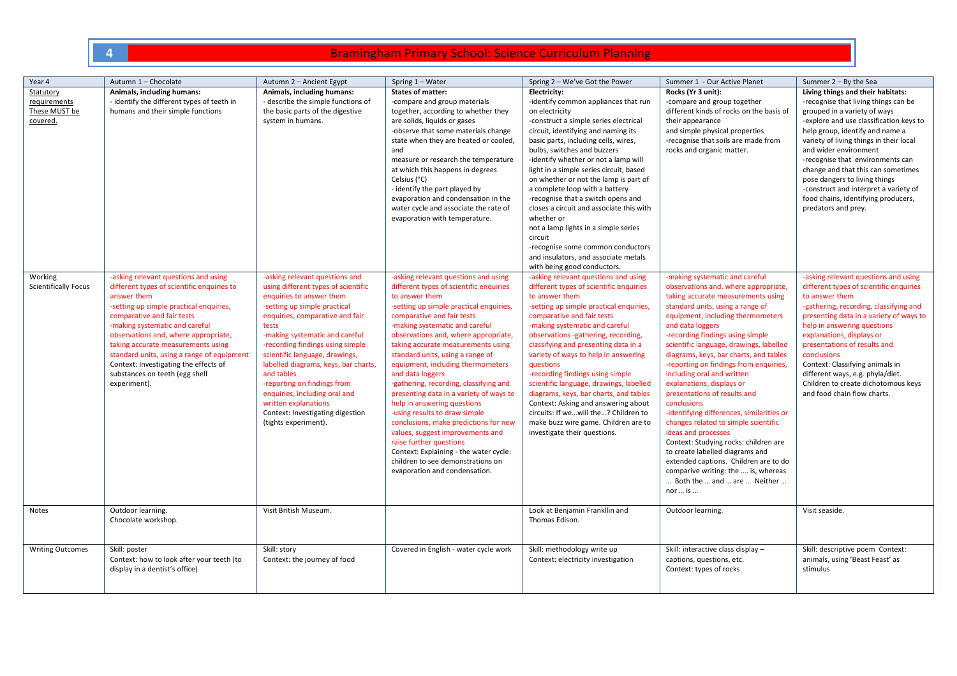| Year 4                                                 | Autumn 1 - Chocolate                                                                                                                                                                                                                                                                                                                                                                                                                | Autumn 2 - Ancient Egypt                                                                                                                                                                                                                                                                                                                                                                                                                                                                        | Spring 1 - Water                                                                                                                                                                                                                                                                                                                                                                                                                                                                                                                                                                                                                                                                                                                                                     | Spring 2 - We've Got the Power                                                                                                                                                                                                                                                                                                                                                                                                                                                                                                                                                                                                                             | Summer 1 - Our Active Planet                                                                                                                                                                                                                                                                                                                                                                                                                                                                                                                                                                                                                                                                                                                                                                             | Summer $2 - By$ the Sea                                                                                                                                                                                                                                                                                                                                                                                                                                                       |
|--------------------------------------------------------|-------------------------------------------------------------------------------------------------------------------------------------------------------------------------------------------------------------------------------------------------------------------------------------------------------------------------------------------------------------------------------------------------------------------------------------|-------------------------------------------------------------------------------------------------------------------------------------------------------------------------------------------------------------------------------------------------------------------------------------------------------------------------------------------------------------------------------------------------------------------------------------------------------------------------------------------------|----------------------------------------------------------------------------------------------------------------------------------------------------------------------------------------------------------------------------------------------------------------------------------------------------------------------------------------------------------------------------------------------------------------------------------------------------------------------------------------------------------------------------------------------------------------------------------------------------------------------------------------------------------------------------------------------------------------------------------------------------------------------|------------------------------------------------------------------------------------------------------------------------------------------------------------------------------------------------------------------------------------------------------------------------------------------------------------------------------------------------------------------------------------------------------------------------------------------------------------------------------------------------------------------------------------------------------------------------------------------------------------------------------------------------------------|----------------------------------------------------------------------------------------------------------------------------------------------------------------------------------------------------------------------------------------------------------------------------------------------------------------------------------------------------------------------------------------------------------------------------------------------------------------------------------------------------------------------------------------------------------------------------------------------------------------------------------------------------------------------------------------------------------------------------------------------------------------------------------------------------------|-------------------------------------------------------------------------------------------------------------------------------------------------------------------------------------------------------------------------------------------------------------------------------------------------------------------------------------------------------------------------------------------------------------------------------------------------------------------------------|
| Statutory<br>requirements<br>These MUST be<br>covered. | Animals, including humans:<br>- identify the different types of teeth in<br>humans and their simple functions                                                                                                                                                                                                                                                                                                                       | Animals, including humans:<br>- describe the simple functions of<br>the basic parts of the digestive<br>system in humans.                                                                                                                                                                                                                                                                                                                                                                       | States of matter:<br>-compare and group materials<br>together, according to whether they<br>are solids, liquids or gases<br>-observe that some materials change<br>state when they are heated or cooled,<br>and<br>measure or research the temperature<br>at which this happens in degrees<br>Celsius (°C)<br>- identify the part played by<br>evaporation and condensation in the<br>water cycle and associate the rate of<br>evaporation with temperature.                                                                                                                                                                                                                                                                                                         | Electricity:<br>-identify common appliances that run<br>on electricity<br>-construct a simple series electrical<br>circuit, identifying and naming its<br>basic parts, including cells, wires,<br>bulbs, switches and buzzers<br>-identify whether or not a lamp will<br>light in a simple series circuit, based<br>on whether or not the lamp is part of<br>a complete loop with a battery<br>-recognise that a switch opens and<br>closes a circuit and associate this with<br>whether or<br>not a lamp lights in a simple series<br>circuit<br>-recognise some common conductors<br>and insulators, and associate metals<br>with being good conductors. | Rocks (Yr 3 unit):<br>-compare and group together<br>different kinds of rocks on the basis of<br>their appearance<br>and simple physical properties<br>-recognise that soils are made from<br>rocks and organic matter.                                                                                                                                                                                                                                                                                                                                                                                                                                                                                                                                                                                  | Living things and their habitats:<br>-recognise that living things can be<br>grouped in a variety of ways<br>-explore and use classification keys to<br>help group, identify and name a<br>variety of living things in their local<br>and wider environment<br>-recognise that environments can<br>change and that this can sometimes<br>pose dangers to living things<br>-construct and interpret a variety of<br>food chains, identifying producers,<br>predators and prey. |
| Working<br><b>Scientifically Focus</b>                 | -asking relevant questions and using<br>different types of scientific enquiries to<br>answer them<br>-setting up simple practical enquiries,<br>comparative and fair tests<br>-making systematic and careful<br>observations and, where appropriate,<br>taking accurate measurements using<br>standard units, using a range of equipment<br>Context: Investigating the effects of<br>substances on teeth (egg shell<br>experiment). | -asking relevant questions and<br>using different types of scientific<br>enquiries to answer them<br>-setting up simple practical<br>enquiries, comparative and fair<br>tests<br>-making systematic and careful<br>-recording findings using simple<br>scientific language, drawings,<br>labelled diagrams, keys, bar charts,<br>and tables<br>-reporting on findings from<br>enquiries, including oral and<br>written explanations<br>Context: Investigating digestion<br>(tights experiment). | -asking relevant questions and using<br>different types of scientific enquiries<br>to answer them<br>-setting up simple practical enquiries,<br>comparative and fair tests<br>-making systematic and careful<br>observations and, where appropriate,<br>taking accurate measurements using<br>standard units, using a range of<br>equipment, including thermometers<br>and data loggers<br>-gathering, recording, classifying and<br>presenting data in a variety of ways to<br>help in answering questions<br>-using results to draw simple<br>conclusions, make predictions for new<br>values, suggest improvements and<br>raise further questions<br>Context: Explaining - the water cycle:<br>children to see demonstrations on<br>evaporation and condensation. | -asking relevant questions and using<br>different types of scientific enquiries<br>to answer them<br>-setting up simple practical enquiries,<br>comparative and fair tests<br>-making systematic and careful<br>observations -gathering, recording,<br>classifying and presenting data in a<br>variety of ways to help in answering<br>questions<br>-recording findings using simple<br>scientific language, drawings, labelled<br>diagrams, keys, bar charts, and tables<br>Context: Asking and answering about<br>circuits: If wewill the? Children to<br>make buzz wire game. Children are to<br>investigate their questions.                           | -making systematic and careful<br>observations and, where appropriate,<br>taking accurate measurements using<br>standard units, using a range of<br>equipment, including thermometers<br>and data loggers<br>-recording findings using simple<br>scientific language, drawings, labelled<br>diagrams, keys, bar charts, and tables<br>-reporting on findings from enquiries,<br>including oral and written<br>explanations, displays or<br>presentations of results and<br>conclusions<br>-identifying differences, similarities or<br>changes related to simple scientific<br>ideas and processes<br>Context: Studying rocks: children are<br>to create labelled diagrams and<br>extended captions. Children are to do<br>comparive writing: the  is, whereas<br>Both the  and  are  Neither<br>nor  is | -asking relevant questions and using<br>different types of scientific enquiries<br>to answer them<br>-gathering, recording, classifying and<br>presenting data in a variety of ways to<br>help in answering questions<br>explanations, displays or<br>presentations of results and<br>conclusions<br>Context: Classifying animals in<br>different ways, e.g. phyla/diet.<br>Children to create dichotomous keys<br>and food chain flow charts.                                |
| Notes                                                  | Outdoor learning.<br>Chocolate workshop.                                                                                                                                                                                                                                                                                                                                                                                            | Visit British Museum.                                                                                                                                                                                                                                                                                                                                                                                                                                                                           |                                                                                                                                                                                                                                                                                                                                                                                                                                                                                                                                                                                                                                                                                                                                                                      | Look at Benjamin Frankllin and<br>Thomas Edison.                                                                                                                                                                                                                                                                                                                                                                                                                                                                                                                                                                                                           | Outdoor learning.                                                                                                                                                                                                                                                                                                                                                                                                                                                                                                                                                                                                                                                                                                                                                                                        | Visit seaside.                                                                                                                                                                                                                                                                                                                                                                                                                                                                |
| <b>Writing Outcomes</b>                                | Skill: poster<br>Context: how to look after your teeth (to<br>display in a dentist's office)                                                                                                                                                                                                                                                                                                                                        | Skill: story<br>Context: the journey of food                                                                                                                                                                                                                                                                                                                                                                                                                                                    | Covered in English - water cycle work                                                                                                                                                                                                                                                                                                                                                                                                                                                                                                                                                                                                                                                                                                                                | Skill: methodology write up<br>Context: electricity investigation                                                                                                                                                                                                                                                                                                                                                                                                                                                                                                                                                                                          | Skill: interactive class display -<br>captions, questions, etc.<br>Context: types of rocks                                                                                                                                                                                                                                                                                                                                                                                                                                                                                                                                                                                                                                                                                                               | Skill: descriptive poem Context:<br>animals, using 'Beast Feast' as<br>stimulus                                                                                                                                                                                                                                                                                                                                                                                               |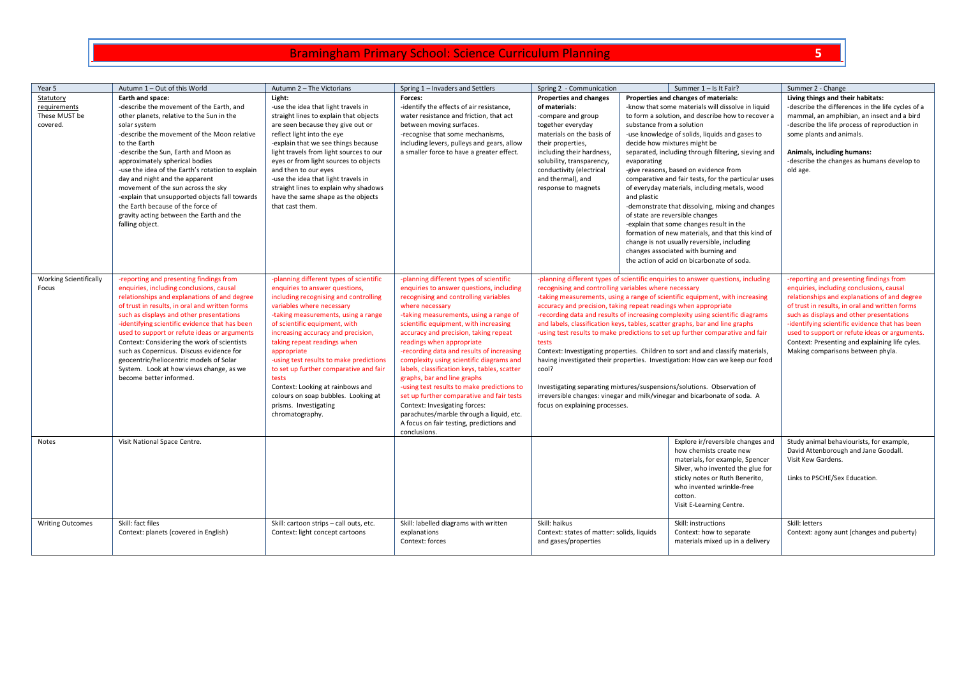| Year 5                        | Autumn 1 - Out of this World                     | Autumn 2 - The Victorians               | Spring 1 - Invaders and Settlers             | Spring 2 - Communication                                                       |                           | Summer 1 - Is It Fair?                                                           | Summer 2 - Change                                 |
|-------------------------------|--------------------------------------------------|-----------------------------------------|----------------------------------------------|--------------------------------------------------------------------------------|---------------------------|----------------------------------------------------------------------------------|---------------------------------------------------|
| Statutory                     | Earth and space:                                 | Light:                                  | Forces:                                      | <b>Properties and changes</b>                                                  |                           | Properties and changes of materials:                                             | Living things and their habitats:                 |
| requirements                  | -describe the movement of the Earth, and         | -use the idea that light travels in     | -identify the effects of air resistance,     | of materials:                                                                  |                           | -know that some materials will dissolve in liquid                                | -describe the differences in the life cycles of a |
| These MUST be                 | other planets, relative to the Sun in the        | straight lines to explain that objects  | water resistance and friction, that act      | -compare and group                                                             |                           | to form a solution, and describe how to recover a                                | mammal, an amphibian, an insect and a bird        |
| covered.                      | solar system                                     | are seen because they give out or       | between moving surfaces.                     | together everyday                                                              | substance from a solution |                                                                                  | -describe the life process of reproduction in     |
|                               | -describe the movement of the Moon relative      | reflect light into the eye              | -recognise that some mechanisms,             | materials on the basis of                                                      |                           | -use knowledge of solids, liquids and gases to                                   | some plants and animals.                          |
|                               | to the Earth                                     | -explain that we see things because     | including levers, pulleys and gears, allow   | their properties,                                                              |                           | decide how mixtures might be                                                     |                                                   |
|                               | -describe the Sun, Earth and Moon as             | light travels from light sources to our | a smaller force to have a greater effect.    | including their hardness,                                                      |                           | separated, including through filtering, sieving and                              | Animals, including humans:                        |
|                               | approximately spherical bodies                   | eyes or from light sources to objects   |                                              | solubility, transparency,                                                      | evaporating               |                                                                                  | -describe the changes as humans develop to        |
|                               | -use the idea of the Earth's rotation to explain | and then to our eyes                    |                                              | conductivity (electrical                                                       |                           | -give reasons, based on evidence from                                            | old age.                                          |
|                               | day and night and the apparent                   | -use the idea that light travels in     |                                              | and thermal), and                                                              |                           | comparative and fair tests, for the particular uses                              |                                                   |
|                               | movement of the sun across the sky               | straight lines to explain why shadows   |                                              | response to magnets                                                            |                           | of everyday materials, including metals, wood                                    |                                                   |
|                               | -explain that unsupported objects fall towards   | have the same shape as the objects      |                                              |                                                                                | and plastic               |                                                                                  |                                                   |
|                               | the Earth because of the force of                | that cast them.                         |                                              |                                                                                |                           | -demonstrate that dissolving, mixing and changes                                 |                                                   |
|                               | gravity acting between the Earth and the         |                                         |                                              |                                                                                |                           | of state are reversible changes                                                  |                                                   |
|                               | falling object.                                  |                                         |                                              |                                                                                |                           | -explain that some changes result in the                                         |                                                   |
|                               |                                                  |                                         |                                              |                                                                                |                           | formation of new materials, and that this kind of                                |                                                   |
|                               |                                                  |                                         |                                              |                                                                                |                           | change is not usually reversible, including                                      |                                                   |
|                               |                                                  |                                         |                                              |                                                                                |                           | changes associated with burning and                                              |                                                   |
|                               |                                                  |                                         |                                              |                                                                                |                           | the action of acid on bicarbonate of soda.                                       |                                                   |
| <b>Working Scientifically</b> | -reporting and presenting findings from          | -planning different types of scientific | -planning different types of scientific      |                                                                                |                           | -planning different types of scientific enquiries to answer questions, including | -reporting and presenting findings from           |
| Focus                         | enquiries, including conclusions, causal         | enquiries to answer questions,          | enquiries to answer questions, including     | recognising and controlling variables where necessary                          |                           |                                                                                  | enquiries, including conclusions, causal          |
|                               | relationships and explanations of and degree     | including recognising and controlling   | recognising and controlling variables        |                                                                                |                           | -taking measurements, using a range of scientific equipment, with increasing     | relationships and explanations of and degree      |
|                               | of trust in results, in oral and written forms   | variables where necessary               | where necessary                              | accuracy and precision, taking repeat readings when appropriate                |                           |                                                                                  | of trust in results, in oral and written forms    |
|                               | such as displays and other presentations         | -taking measurements, using a range     | -taking measurements, using a range of       |                                                                                |                           | -recording data and results of increasing complexity using scientific diagrams   | such as displays and other presentations          |
|                               | -identifying scientific evidence that has been   | of scientific equipment, with           | scientific equipment, with increasing        | and labels, classification keys, tables, scatter graphs, bar and line graphs   |                           |                                                                                  | -identifying scientific evidence that has been    |
|                               | used to support or refute ideas or arguments     | increasing accuracy and precision,      | accuracy and precision, taking repeat        | -using test results to make predictions to set up further comparative and fair |                           | used to support or refute ideas or arguments.                                    |                                                   |
|                               | Context: Considering the work of scientists      | taking repeat readings when             | readings when appropriate                    | tests                                                                          |                           |                                                                                  | Context: Presenting and explaining life cyles.    |
|                               | such as Copernicus. Discuss evidence for         | appropriate                             | -recording data and results of increasing    |                                                                                |                           | Context: Investigating properties. Children to sort and and classify materials,  | Making comparisons between phyla.                 |
|                               | geocentric/heliocentric models of Solar          | -using test results to make predictions | complexity using scientific diagrams and     |                                                                                |                           | having investigated their properties. Investigation: How can we keep our food    |                                                   |
|                               | System. Look at how views change, as we          | to set up further comparative and fair  | labels, classification keys, tables, scatter | cool?                                                                          |                           |                                                                                  |                                                   |
|                               | become better informed.                          | tests                                   | graphs, bar and line graphs                  |                                                                                |                           |                                                                                  |                                                   |
|                               |                                                  | Context: Looking at rainbows and        | -using test results to make predictions to   |                                                                                |                           | Investigating separating mixtures/suspensions/solutions. Observation of          |                                                   |
|                               |                                                  | colours on soap bubbles. Looking at     | set up further comparative and fair tests    |                                                                                |                           | irreversible changes: vinegar and milk/vinegar and bicarbonate of soda. A        |                                                   |
|                               |                                                  | prisms. Investigating                   | Context: Invesigating forces:                | focus on explaining processes.                                                 |                           |                                                                                  |                                                   |
|                               |                                                  | chromatography.                         | parachutes/marble through a liquid, etc.     |                                                                                |                           |                                                                                  |                                                   |
|                               |                                                  |                                         | A focus on fair testing, predictions and     |                                                                                |                           |                                                                                  |                                                   |
|                               | Visit National Space Centre.                     |                                         | conclusions.                                 |                                                                                |                           |                                                                                  | Study animal behaviourists, for example,          |
| Notes                         |                                                  |                                         |                                              |                                                                                |                           | Explore ir/reversible changes and<br>how chemists create new                     | David Attenborough and Jane Goodall.              |
|                               |                                                  |                                         |                                              |                                                                                |                           | materials, for example, Spencer                                                  | Visit Kew Gardens.                                |
|                               |                                                  |                                         |                                              |                                                                                |                           | Silver, who invented the glue for                                                |                                                   |
|                               |                                                  |                                         |                                              |                                                                                |                           | sticky notes or Ruth Benerito,                                                   | Links to PSCHE/Sex Education.                     |
|                               |                                                  |                                         |                                              |                                                                                |                           | who invented wrinkle-free                                                        |                                                   |
|                               |                                                  |                                         |                                              |                                                                                |                           | cotton.                                                                          |                                                   |
|                               |                                                  |                                         |                                              |                                                                                |                           | Visit E-Learning Centre.                                                         |                                                   |
|                               |                                                  |                                         |                                              |                                                                                |                           |                                                                                  |                                                   |
| <b>Writing Outcomes</b>       | Skill: fact files                                | Skill: cartoon strips - call outs, etc. | Skill: labelled diagrams with written        | Skill: haikus                                                                  |                           | Skill: instructions                                                              | Skill: letters                                    |
|                               | Context: planets (covered in English)            | Context: light concept cartoons         | explanations                                 | Context: states of matter: solids, liquids                                     |                           | Context: how to separate                                                         | Context: agony aunt (changes and puberty)         |
|                               |                                                  |                                         | Context: forces                              | and gases/properties                                                           |                           | materials mixed up in a delivery                                                 |                                                   |
|                               |                                                  |                                         |                                              |                                                                                |                           |                                                                                  |                                                   |